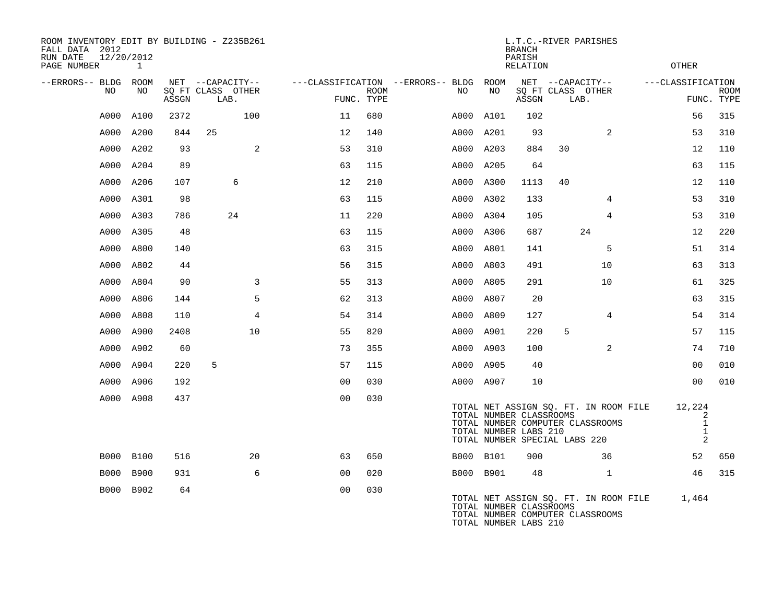| ROOM INVENTORY EDIT BY BUILDING - Z235B261<br>FALL DATA 2012<br>12/20/2012<br>RUN DATE<br>PAGE NUMBER | 1           |       |                                               |                |             |                                              |           | <b>BRANCH</b><br>PARISH<br>RELATION              | L.T.C.-RIVER PARISHES                         |                                                                           | <b>OTHER</b>                                     |                           |
|-------------------------------------------------------------------------------------------------------|-------------|-------|-----------------------------------------------|----------------|-------------|----------------------------------------------|-----------|--------------------------------------------------|-----------------------------------------------|---------------------------------------------------------------------------|--------------------------------------------------|---------------------------|
| --ERRORS-- BLDG ROOM<br>NO                                                                            | NO          | ASSGN | NET --CAPACITY--<br>SQ FT CLASS OTHER<br>LAB. | FUNC. TYPE     | <b>ROOM</b> | ---CLASSIFICATION --ERRORS-- BLDG ROOM<br>NO | NO        | ASSGN                                            | NET --CAPACITY--<br>SQ FT CLASS OTHER<br>LAB. |                                                                           | ---CLASSIFICATION                                | <b>ROOM</b><br>FUNC. TYPE |
| A000                                                                                                  | A100        | 2372  | 100                                           | 11             | 680         |                                              | A000 A101 | 102                                              |                                               |                                                                           | 56                                               | 315                       |
|                                                                                                       | A000 A200   | 844   | 25                                            | 12             | 140         | A000                                         | A201      | 93                                               |                                               | 2                                                                         | 53                                               | 310                       |
|                                                                                                       | A000 A202   | 93    | 2                                             | 53             | 310         |                                              | A000 A203 | 884                                              | 30                                            |                                                                           | 12                                               | 110                       |
| A000                                                                                                  | A204        | 89    |                                               | 63             | 115         |                                              | A000 A205 | 64                                               |                                               |                                                                           | 63                                               | 115                       |
|                                                                                                       | A000 A206   | 107   | 6                                             | 12             | 210         |                                              | A000 A300 | 1113                                             | 40                                            |                                                                           | 12                                               | 110                       |
| A000                                                                                                  | A301        | 98    |                                               | 63             | 115         |                                              | A000 A302 | 133                                              |                                               | $\overline{4}$                                                            | 53                                               | 310                       |
|                                                                                                       | A000 A303   | 786   | 24                                            | 11             | 220         |                                              | A000 A304 | 105                                              |                                               | $\overline{4}$                                                            | 53                                               | 310                       |
| A000                                                                                                  | A305        | 48    |                                               | 63             | 115         |                                              | A000 A306 | 687                                              |                                               | 24                                                                        | 12                                               | 220                       |
| A000                                                                                                  | A800        | 140   |                                               | 63             | 315         |                                              | A000 A801 | 141                                              |                                               | 5                                                                         | 51                                               | 314                       |
| A000                                                                                                  | A802        | 44    |                                               | 56             | 315         |                                              | A000 A803 | 491                                              |                                               | 10                                                                        | 63                                               | 313                       |
|                                                                                                       | A000 A804   | 90    | 3                                             | 55             | 313         |                                              | A000 A805 | 291                                              |                                               | 10                                                                        | 61                                               | 325                       |
| A000                                                                                                  | A806        | 144   | 5                                             | 62             | 313         |                                              | A000 A807 | 20                                               |                                               |                                                                           | 63                                               | 315                       |
| A000                                                                                                  | A808        | 110   | 4                                             | 54             | 314         | A000                                         | A809      | 127                                              |                                               | 4                                                                         | 54                                               | 314                       |
| A000                                                                                                  | A900        | 2408  | 10                                            | 55             | 820         |                                              | A000 A901 | 220                                              | 5                                             |                                                                           | 57                                               | 115                       |
| A000                                                                                                  | A902        | 60    |                                               | 73             | 355         |                                              | A000 A903 | 100                                              |                                               | $\overline{2}$                                                            | 74                                               | 710                       |
|                                                                                                       | A000 A904   | 220   | 5                                             | 57             | 115         |                                              | A000 A905 | 40                                               |                                               |                                                                           | 0 <sub>0</sub>                                   | 010                       |
|                                                                                                       | A000 A906   | 192   |                                               | 0 <sub>0</sub> | 030         |                                              | A000 A907 | 10                                               |                                               |                                                                           | 00                                               | 010                       |
|                                                                                                       | A000 A908   | 437   |                                               | 0 <sub>0</sub> | 030         |                                              |           | TOTAL NUMBER CLASSROOMS<br>TOTAL NUMBER LABS 210 | TOTAL NUMBER SPECIAL LABS 220                 | TOTAL NET ASSIGN SQ. FT. IN ROOM FILE<br>TOTAL NUMBER COMPUTER CLASSROOMS | 12,224<br>2<br>$\mathbf{1}$<br>$\mathbf{1}$<br>2 |                           |
| B000                                                                                                  | <b>B100</b> | 516   | 20                                            | 63             | 650         |                                              | B000 B101 | 900                                              |                                               | 36                                                                        | 52                                               | 650                       |
| <b>B000</b>                                                                                           | <b>B900</b> | 931   | 6                                             | 0 <sub>0</sub> | 020         |                                              | B000 B901 | 48                                               |                                               | $\mathbf{1}$                                                              | 46                                               | 315                       |
|                                                                                                       | B000 B902   | 64    |                                               | 0 <sub>0</sub> | 030         |                                              |           | TOTAL NUMBER CLASSROOMS<br>TOTAL NUMBER LABS 210 |                                               | TOTAL NET ASSIGN SQ. FT. IN ROOM FILE<br>TOTAL NUMBER COMPUTER CLASSROOMS | 1,464                                            |                           |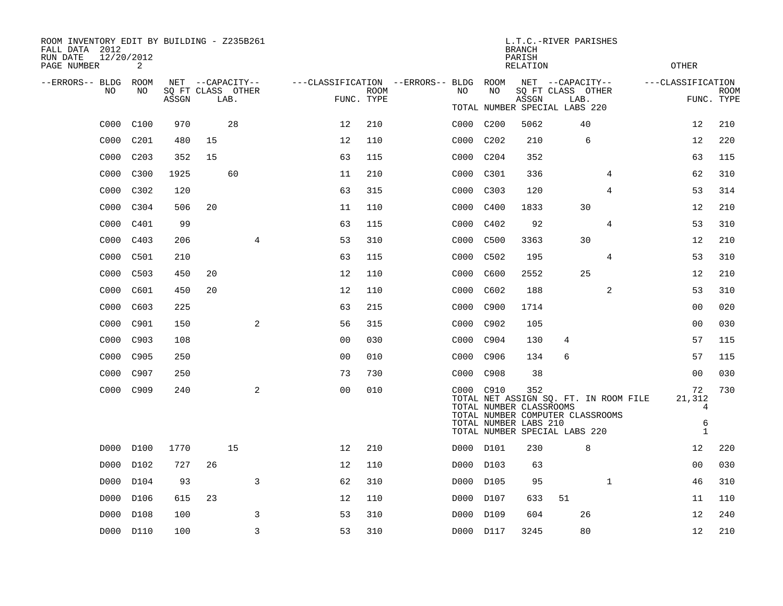| ROOM INVENTORY EDIT BY BUILDING - Z235B261<br>FALL DATA 2012<br>RUN DATE<br>PAGE NUMBER | 12/20/2012<br>2  |       |    |                           |                |                           |                                   |           |      | <b>BRANCH</b><br>PARISH<br><b>RELATION</b> |                               | L.T.C.-RIVER PARISHES                                                     | <b>OTHER</b>      |             |
|-----------------------------------------------------------------------------------------|------------------|-------|----|---------------------------|----------------|---------------------------|-----------------------------------|-----------|------|--------------------------------------------|-------------------------------|---------------------------------------------------------------------------|-------------------|-------------|
| --ERRORS-- BLDG                                                                         | ROOM             |       |    | NET --CAPACITY--          |                |                           | ---CLASSIFICATION --ERRORS-- BLDG |           | ROOM |                                            | NET --CAPACITY--              |                                                                           | ---CLASSIFICATION |             |
| NO                                                                                      | NO               | ASSGN |    | SQ FT CLASS OTHER<br>LAB. |                | <b>ROOM</b><br>FUNC. TYPE |                                   | NO.       | NO   | ASSGN                                      | SQ FT CLASS OTHER<br>LAB.     |                                                                           | FUNC. TYPE        | <b>ROOM</b> |
|                                                                                         |                  |       |    |                           |                |                           |                                   |           |      |                                            | TOTAL NUMBER SPECIAL LABS 220 |                                                                           |                   |             |
| C000                                                                                    | C100             | 970   |    | 28                        | 12             | 210                       |                                   | C000 C200 |      | 5062                                       |                               | 40                                                                        | 12                | 210         |
| C000                                                                                    | C201             | 480   | 15 |                           | 12             | 110                       |                                   | C000      | C202 | 210                                        |                               | 6                                                                         | 12                | 220         |
| C000                                                                                    | C <sub>203</sub> | 352   | 15 |                           | 63             | 115                       |                                   | C000 C204 |      | 352                                        |                               |                                                                           | 63                | 115         |
| C000                                                                                    | C300             | 1925  |    | 60                        | 11             | 210                       |                                   | C000      | C301 | 336                                        |                               | 4                                                                         | 62                | 310         |
| C000                                                                                    | C302             | 120   |    |                           | 63             | 315                       |                                   | C000 C303 |      | 120                                        |                               | 4                                                                         | 53                | 314         |
| C000                                                                                    | C304             | 506   | 20 |                           | 11             | 110                       |                                   | C000      | C400 | 1833                                       |                               | 30                                                                        | 12                | 210         |
| C000                                                                                    | C401             | 99    |    |                           | 63             | 115                       |                                   | C000      | C402 | 92                                         |                               | 4                                                                         | 53                | 310         |
| C000                                                                                    | C403             | 206   |    | 4                         | 53             | 310                       |                                   | C000      | C500 | 3363                                       |                               | 30                                                                        | 12                | 210         |
| C000                                                                                    | C501             | 210   |    |                           | 63             | 115                       |                                   | C000      | C502 | 195                                        |                               | $\overline{4}$                                                            | 53                | 310         |
| C000                                                                                    | C503             | 450   | 20 |                           | 12             | 110                       |                                   | C000      | C600 | 2552                                       |                               | 25                                                                        | 12                | 210         |
| C000                                                                                    | C601             | 450   | 20 |                           | 12             | 110                       |                                   | C000 C602 |      | 188                                        |                               | 2                                                                         | 53                | 310         |
| C000                                                                                    | C603             | 225   |    |                           | 63             | 215                       |                                   | C000      | C900 | 1714                                       |                               |                                                                           | 00                | 020         |
| C000                                                                                    | C901             | 150   |    | $\mathbf{2}$              | 56             | 315                       |                                   | C000      | C902 | 105                                        |                               |                                                                           | 00                | 030         |
| C000                                                                                    | C903             | 108   |    |                           | 0 <sub>0</sub> | 030                       |                                   | C000      | C904 | 130                                        | 4                             |                                                                           | 57                | 115         |
| C000                                                                                    | C905             | 250   |    |                           | 0 <sub>0</sub> | 010                       |                                   | C000      | C906 | 134                                        | 6                             |                                                                           | 57                | 115         |
| C000                                                                                    | C907             | 250   |    |                           | 73             | 730                       |                                   | C000 C908 |      | 38                                         |                               |                                                                           | 00                | 030         |
|                                                                                         | C000 C909        | 240   |    | 2                         | 0 <sub>0</sub> | 010                       |                                   | C000 C910 |      | 352<br>TOTAL NUMBER CLASSROOMS             |                               | TOTAL NET ASSIGN SQ. FT. IN ROOM FILE<br>TOTAL NUMBER COMPUTER CLASSROOMS | 72<br>21,312<br>4 | 730         |
|                                                                                         |                  |       |    |                           |                |                           |                                   |           |      | TOTAL NUMBER LABS 210                      | TOTAL NUMBER SPECIAL LABS 220 |                                                                           | 6<br>$\mathbf{1}$ |             |
| D000                                                                                    | D100             | 1770  |    | 15                        | 12             | 210                       |                                   | D000 D101 |      | 230                                        |                               | 8                                                                         | 12                | 220         |
| D000                                                                                    | D102             | 727   | 26 |                           | 12             | 110                       |                                   | D000      | D103 | 63                                         |                               |                                                                           | 0 <sub>0</sub>    | 030         |
| D000                                                                                    | D104             | 93    |    | 3                         | 62             | 310                       |                                   | D000 D105 |      | 95                                         |                               | $\mathbf{1}$                                                              | 46                | 310         |
| D000                                                                                    | D106             | 615   | 23 |                           | 12             | 110                       |                                   | D000      | D107 | 633                                        | 51                            |                                                                           | 11                | 110         |
| D000                                                                                    | D108             | 100   |    | 3                         | 53             | 310                       |                                   | D000      | D109 | 604                                        |                               | 26                                                                        | 12                | 240         |
|                                                                                         | D000 D110        | 100   |    | 3                         | 53             | 310                       |                                   | D000      | D117 | 3245                                       |                               | 80                                                                        | 12                | 210         |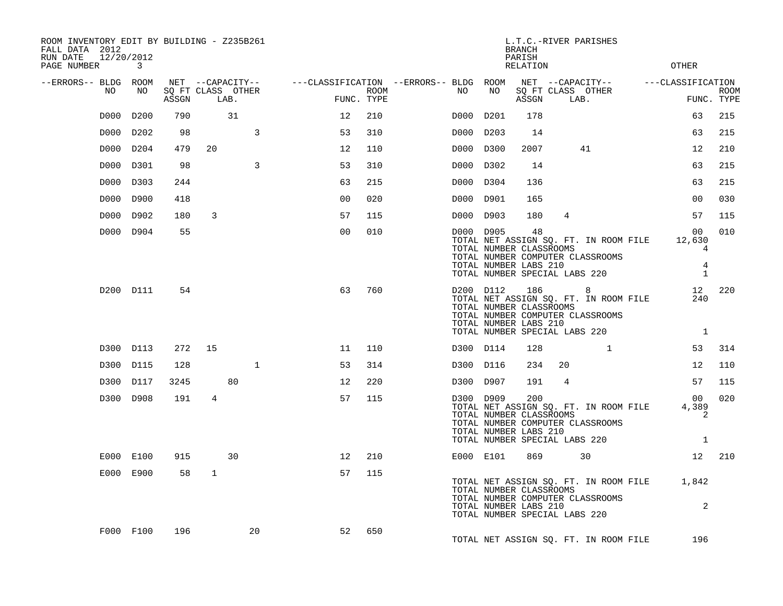| ROOM INVENTORY EDIT BY BUILDING - Z235B261<br>FALL DATA 2012<br>RUN DATE 12/20/2012<br>PAGE NUMBER | 3         |       |                           |              |                                                                                                |                    |    |           | <b>BRANCH</b><br>PARISH<br>RELATION                     |                                                          | L.T.C.-RIVER PARISHES                                                     | <b>OTHER</b>                                                       |             |
|----------------------------------------------------------------------------------------------------|-----------|-------|---------------------------|--------------|------------------------------------------------------------------------------------------------|--------------------|----|-----------|---------------------------------------------------------|----------------------------------------------------------|---------------------------------------------------------------------------|--------------------------------------------------------------------|-------------|
| --ERRORS-- BLDG ROOM                                                                               |           |       |                           |              | NET --CAPACITY-- - ---CLASSIFICATION --ERRORS-- BLDG ROOM NET --CAPACITY-- - ---CLASSIFICATION |                    |    |           |                                                         |                                                          |                                                                           |                                                                    |             |
| NO.                                                                                                | NO        | ASSGN | SO FT CLASS OTHER<br>LAB. |              |                                                                                                | ROOM<br>FUNC. TYPE | NO | NO        | ASSGN                                                   |                                                          | SQ FT CLASS OTHER<br>LAB.                                                 | FUNC. TYPE                                                         | <b>ROOM</b> |
| D000                                                                                               | D200      | 790   | 31                        |              | 12                                                                                             | 210                |    | D000 D201 | 178                                                     |                                                          |                                                                           | 63                                                                 | 215         |
| D000                                                                                               | D202      | 98    |                           | 3            | 53                                                                                             | 310                |    | D000 D203 | 14                                                      |                                                          |                                                                           | 63                                                                 | 215         |
|                                                                                                    | D000 D204 | 479   | 20                        |              | 12                                                                                             | 110                |    | D000 D300 | 2007                                                    |                                                          | 41                                                                        | 12                                                                 | 210         |
|                                                                                                    | D000 D301 | 98    |                           | 3            | 53                                                                                             | 310                |    | D000 D302 | 14                                                      |                                                          |                                                                           | 63                                                                 | 215         |
|                                                                                                    | D000 D303 | 244   |                           |              | 63                                                                                             | 215                |    | D000 D304 | 136                                                     |                                                          |                                                                           | 63                                                                 | 215         |
|                                                                                                    | D000 D900 | 418   |                           |              | 0 <sub>0</sub>                                                                                 | 020                |    | D000 D901 | 165                                                     |                                                          |                                                                           | 00                                                                 | 030         |
|                                                                                                    | D000 D902 | 180   | 3                         |              | 57                                                                                             | 115                |    | D000 D903 | 180                                                     | $\overline{4}$                                           |                                                                           | 57                                                                 | 115         |
|                                                                                                    | D000 D904 | 55    |                           |              | 0 <sup>0</sup>                                                                                 | 010                |    | D000 D905 | 48<br>TOTAL NUMBER LABS 210                             | TOTAL NUMBER CLASSROOMS<br>TOTAL NUMBER SPECIAL LABS 220 | TOTAL NET ASSIGN SQ. FT. IN ROOM FILE<br>TOTAL NUMBER COMPUTER CLASSROOMS | 00 <sup>o</sup><br>12,630<br>4<br>$\overline{4}$<br>$\overline{1}$ | 010         |
|                                                                                                    | D200 D111 | 54    |                           |              | 63                                                                                             | 760                |    | D200 D112 | 186<br>TOTAL NUMBER CLASSROOMS<br>TOTAL NUMBER LABS 210 | 8 <sup>1</sup><br>TOTAL NUMBER SPECIAL LABS 220          | TOTAL NET ASSIGN SQ. FT. IN ROOM FILE<br>TOTAL NUMBER COMPUTER CLASSROOMS | 240<br>$\mathbf{1}$                                                | 12 220      |
|                                                                                                    | D300 D113 | 272   | 15                        |              | 11                                                                                             | 110                |    | D300 D114 | 128                                                     |                                                          | $\mathbf{1}$                                                              | 53                                                                 | 314         |
|                                                                                                    | D300 D115 | 128   |                           | $\mathbf{1}$ | 53                                                                                             | 314                |    | D300 D116 | 234                                                     | 20                                                       |                                                                           | 12 <sup>°</sup>                                                    | 110         |
|                                                                                                    | D300 D117 | 3245  | 80                        |              | 12                                                                                             | 220                |    | D300 D907 | 191                                                     | $4\overline{ }$                                          |                                                                           | 57                                                                 | 115         |
|                                                                                                    | D300 D908 | 191   | 4                         |              | 57                                                                                             | 115                |    | D300 D909 | 200<br>TOTAL NUMBER CLASSROOMS<br>TOTAL NUMBER LABS 210 | TOTAL NUMBER SPECIAL LABS 220                            | TOTAL NET ASSIGN SQ. FT. IN ROOM FILE<br>TOTAL NUMBER COMPUTER CLASSROOMS | 00<br>4,389<br>2<br>$\mathbf{1}$                                   | 020         |
|                                                                                                    | E000 E100 | 915   | 30                        |              | 12                                                                                             | 210                |    | E000 E101 |                                                         | 869 30                                                   |                                                                           |                                                                    | 12 210      |
|                                                                                                    | E000 E900 | 58    | $\mathbf{1}$              |              | 57                                                                                             | 115                |    |           | TOTAL NUMBER CLASSROOMS<br>TOTAL NUMBER LABS 210        | TOTAL NUMBER SPECIAL LABS 220                            | TOTAL NUMBER COMPUTER CLASSROOMS                                          | TOTAL NET ASSIGN SQ. FT. IN ROOM FILE 1,842<br>$\overline{a}$      |             |
|                                                                                                    | F000 F100 | 196   |                           | 20           | 52                                                                                             | 650                |    |           |                                                         |                                                          | TOTAL NET ASSIGN SQ. FT. IN ROOM FILE                                     | 196                                                                |             |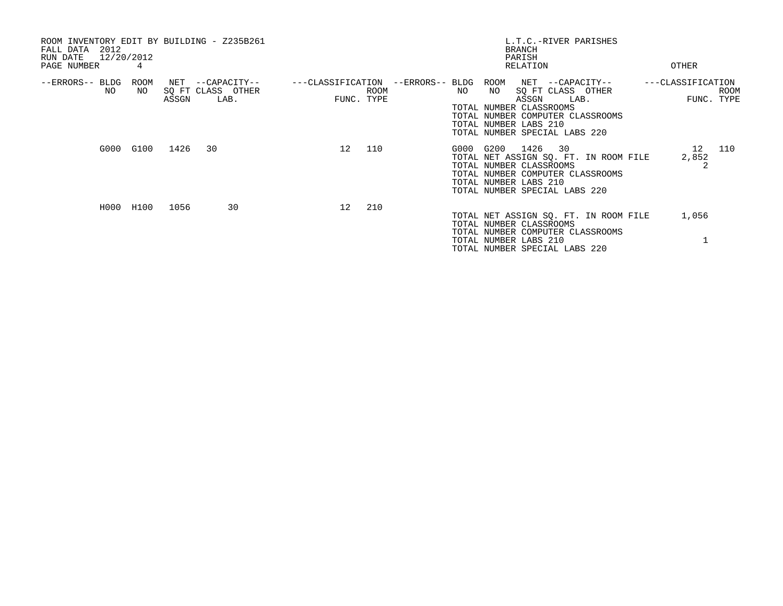| ROOM INVENTORY EDIT BY BUILDING - Z235B261<br>2012<br>FALL DATA<br>12/20/2012<br>RUN DATE<br>PAGE NUMBER | 4           |       |                                               |                                   |                           |    |                | L.T.C.-RIVER PARISHES<br><b>BRANCH</b><br>PARISH<br>RELATION                                                                                                            |      | OTHER             |                    |
|----------------------------------------------------------------------------------------------------------|-------------|-------|-----------------------------------------------|-----------------------------------|---------------------------|----|----------------|-------------------------------------------------------------------------------------------------------------------------------------------------------------------------|------|-------------------|--------------------|
| --ERRORS-- BLDG<br>NO.                                                                                   | ROOM<br>NO. | ASSGN | NET --CAPACITY--<br>SQ FT CLASS OTHER<br>LAB. | ---CLASSIFICATION --ERRORS-- BLDG | <b>ROOM</b><br>FUNC. TYPE | NO | ROOM<br>NO     | NET --CAPACITY--<br>SQ FT CLASS OTHER<br>ASSGN<br>TOTAL NUMBER CLASSROOMS<br>TOTAL NUMBER COMPUTER CLASSROOMS<br>TOTAL NUMBER LABS 210<br>TOTAL NUMBER SPECIAL LABS 220 | LAB. | ---CLASSIFICATION | ROOM<br>FUNC. TYPE |
|                                                                                                          | G000 G100   | 1426  | 30                                            | 12                                | 110                       |    | G000 G200 1426 | 30<br>TOTAL NET ASSIGN SQ. FT. IN ROOM FILE<br>TOTAL NUMBER CLASSROOMS<br>TOTAL NUMBER COMPUTER CLASSROOMS<br>TOTAL NUMBER LABS 210<br>TOTAL NUMBER SPECIAL LABS 220    |      | 2,852<br>2        | 12 110             |
|                                                                                                          | H000 H100   | 1056  | 30                                            | 12                                | 210                       |    |                | TOTAL NET ASSIGN SQ. FT. IN ROOM FILE<br>TOTAL NUMBER CLASSROOMS<br>TOTAL NUMBER COMPUTER CLASSROOMS<br>TOTAL NUMBER LABS 210<br>TOTAL NUMBER SPECIAL LABS 220          |      | 1,056             |                    |